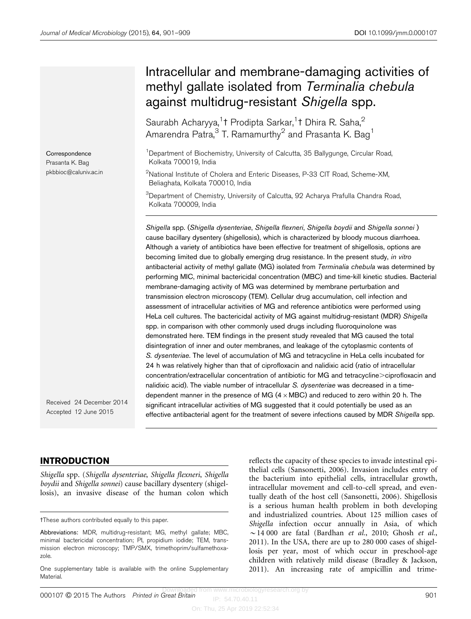# Intracellular and membrane-damaging activities of methyl gallate isolated from Terminalia chebula against multidrug-resistant Shigella spp.

Saurabh Acharyya,<sup>1</sup>t Prodipta Sarkar,<sup>1</sup>t Dhira R. Saha,<sup>2</sup> Amarendra Patra,  $3\text{ T}$ . Ramamurthy<sup>2</sup> and Prasanta K. Bag<sup>1</sup>

<sup>1</sup>Department of Biochemistry, University of Calcutta, 35 Ballygunge, Circular Road, Kolkata 700019, India

<sup>2</sup>National Institute of Cholera and Enteric Diseases, P-33 CIT Road, Scheme-XM, Beliaghata, Kolkata 700010, India

<sup>3</sup>Department of Chemistry, University of Calcutta, 92 Acharya Prafulla Chandra Road, Kolkata 700009, India

Shigella spp. (Shigella dysenteriae, Shigella flexneri, Shigella boydii and Shigella sonnei ) cause bacillary dysentery (shigellosis), which is characterized by bloody mucous diarrhoea. Although a variety of antibiotics have been effective for treatment of shigellosis, options are becoming limited due to globally emerging drug resistance. In the present study, in vitro antibacterial activity of methyl gallate (MG) isolated from Terminalia chebula was determined by performing MIC, minimal bactericidal concentration (MBC) and time-kill kinetic studies. Bacterial membrane-damaging activity of MG was determined by membrane perturbation and transmission electron microscopy (TEM). Cellular drug accumulation, cell infection and assessment of intracellular activities of MG and reference antibiotics were performed using HeLa cell cultures. The bactericidal activity of MG against multidrug-resistant (MDR) Shigella spp. in comparison with other commonly used drugs including fluoroquinolone was demonstrated here. TEM findings in the present study revealed that MG caused the total disintegration of inner and outer membranes, and leakage of the cytoplasmic contents of S. dysenteriae. The level of accumulation of MG and tetracycline in HeLa cells incubated for 24 h was relatively higher than that of ciprofloxacin and nalidixic acid (ratio of intracellular concentration/extracellular concentration of antibiotic for MG and tetracycline>ciprofloxacin and nalidixic acid). The viable number of intracellular S. dysenteriae was decreased in a timedependent manner in the presence of MG  $(4 \times$ MBC) and reduced to zero within 20 h. The significant intracellular activities of MG suggested that it could potentially be used as an effective antibacterial agent for the treatment of severe infections caused by MDR Shigella spp.

Received 24 December 2014 Accepted 12 June 2015

# INTRODUCTION

**Correspondence** Prasanta K. Bag [pkbbioc@caluniv.ac.in](mailto:pkbbioc@caluniv.ac.in)

Shigella spp. (Shigella dysenteriae, Shigella flexneri, Shigella boydii and Shigella sonnei) cause bacillary dysentery (shigellosis), an invasive disease of the human colon which

tThese authors contributed equally to this paper.

One supplementary table is available with the online Supplementary Material.

reflects the capacity of these species to invade intestinal epithelial cells ([Sansonetti, 2006\)](#page-8-0). Invasion includes entry of the bacterium into epithelial cells, intracellular growth, intracellular movement and cell-to-cell spread, and eventually death of the host cell [\(Sansonetti, 2006\)](#page-8-0). Shigellosis is a serious human health problem in both developing and industrialized countries. About 125 million cases of Shigella infection occur annually in Asia, of which  $\sim$  14 000 are fatal ([Bardhan](#page-7-0) et al., 2010; [Ghosh](#page-8-0) et al., [2011\)](#page-8-0). In the USA, there are up to 280 000 cases of shigellosis per year, most of which occur in preschool-age children with relatively mild disease ([Bradley & Jackson,](#page-7-0) [2011\)](#page-7-0). An increasing rate of ampicillin and trime-

Abbreviations: MDR, multidrug-resistant; MG, methyl gallate; MBC, minimal bactericidal concentration; PI, propidium iodide; TEM, transmission electron microscopy; TMP/SMX, trimethoprim/sulfamethoxazole.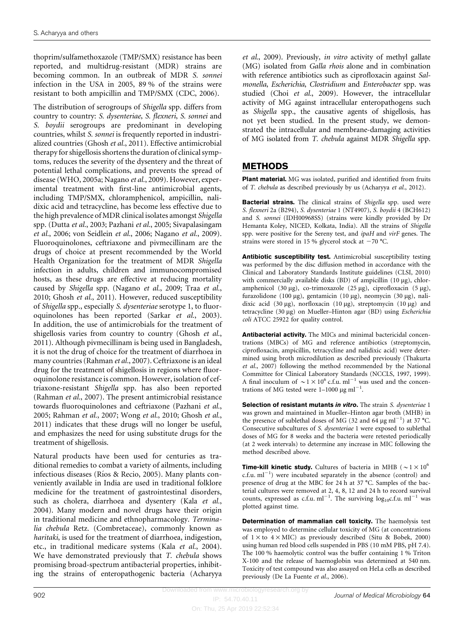thoprim/sulfamethoxazole (TMP/SMX) resistance has been reported, and multidrug-resistant (MDR) strains are becoming common. In an outbreak of MDR S. sonnei infection in the USA in 2005, 89 % of the strains were resistant to both ampicillin and TMP/SMX [\(CDC, 2006](#page-7-0)).

The distribution of serogroups of Shigella spp. differs from country to country: S. dysenteriae, S. flexneri, S. sonnei and S. boydii serogroups are predominant in developing countries, whilst S. sonnei is frequently reported in industrialized countries ([Ghosh](#page-8-0) et al., 2011). Effective antimicrobial therapy for shigellosis shortens the duration of clinical symptoms, reduces the severity of the dysentery and the threat of potential lethal complications, and prevents the spread of disease ([WHO, 2005a; Nagano](#page-8-0) et al., 2009). However, experimental treatment with first-line antimicrobial agents, including TMP/SMX, chloramphenicol, ampicillin, nalidixic acid and tetracycline, has become less effective due to the high prevalence of MDR clinical isolates amongst Shigella spp. (Dutta et al.[, 2003; Pazhani](#page-8-0) et al., 2005; [Sivapalasingam](#page-8-0) et al.[, 2006; von Seidlein](#page-8-0) et al., 2006; [Nagano](#page-8-0) et al., 2009). Fluoroquinolones, ceftriaxone and pivmecillinam are the drugs of choice at present recommended by the World Health Organization for the treatment of MDR Shigella infection in adults, children and immunocompromised hosts, as these drugs are effective at reducing mortality caused by Shigella spp. [\(Nagano](#page-8-0) et al., 2009; Traa [et al.](#page-8-0), [2010](#page-8-0); [Ghosh](#page-8-0) et al., 2011). However, reduced susceptibility of Shigella spp., especially S. dysenteriae serotype 1, to fluoroquinolones has been reported (Sarkar et al.[, 2003](#page-8-0)). In addition, the use of antimicrobials for the treatment of shigellosis varies from country to country ([Ghosh](#page-8-0) et al., [2011](#page-8-0)). Although pivmecillinam is being used in Bangladesh, it is not the drug of choice for the treatment of diarrhoea in many countries [\(Rahman](#page-8-0) et al., 2007). Ceftriaxone is an ideal drug for the treatment of shigellosis in regions where fluoroquinolone resistance is common. However, isolation of ceftriaxone-resistant Shigella spp. has also been reported [\(Rahman](#page-8-0) et al., 2007). The present antimicrobial resistance towards fluoroquinolones and ceftriaxone [\(Pazhani](#page-8-0) et al., [2005](#page-8-0); [Rahman](#page-8-0) et al., 2007; [Wong](#page-8-0) et al., 2010; [Ghosh](#page-8-0) et al., [2011](#page-8-0)) indicates that these drugs will no longer be useful, and emphasizes the need for using substitute drugs for the treatment of shigellosis.

Natural products have been used for centuries as traditional remedies to combat a variety of ailments, including infectious diseases (Ríos & Recio, 2005). Many plants conveniently available in India are used in traditional folklore medicine for the treatment of gastrointestinal disorders, such as cholera, diarrhoea and dysentery (Kala [et al.](#page-8-0), [2004](#page-8-0)). Many modern and novel drugs have their origin in traditional medicine and ethnopharmacology. Terminalia chebula Retz. (Combretaceae), commonly known as haritaki, is used for the treatment of diarrhoea, indigestion, etc., in traditional medicare systems (Kala et al.[, 2004](#page-8-0)). We have demonstrated previously that T. chebula shows promising broad-spectrum antibacterial properties, inhibiting the strains of enteropathogenic bacteria ([Acharyya](#page-7-0)

et al.[, 2009](#page-7-0)). Previously, in vitro activity of methyl gallate (MG) isolated from Galla rhois alone and in combination with reference antibiotics such as ciprofloxacin against Salmonella, Escherichia, Clostridium and Enterobacter spp. was studied (Choi et al.[, 2009\)](#page-7-0). However, the intracellular activity of MG against intracellular enteropathogens such as Shigella spp., the causative agents of shigellosis, has not yet been studied. In the present study, we demonstrated the intracellular and membrane-damaging activities of MG isolated from T. chebula against MDR Shigella spp.

# METHODS

Plant material. MG was isolated, purified and identified from fruits of T. chebula as described previously by us [\(Acharyya](#page-7-0) et al., 2012).

Bacterial strains. The clinical strains of Shigella spp. used were S. flexneri 2a (B294), S. dysenteriae 1 (NT4907), S. boydii 4 (BCH612) and S. sonnei (IDH00968SS) (strains were kindly provided by Dr Hemanta Koley, NICED, Kolkata, India). All the strains of Shigella spp. were positive for the Sereny test, and ipaH and virF genes. The strains were stored in 15 % glycerol stock at  $-70$  °C.

Antibiotic susceptibility test. Antimicrobial susceptibility testing was performed by the disc diffusion method in accordance with the Clinical and Laboratory Standards Institute guidelines ([CLSI, 2010](#page-7-0)) with commercially available disks  $(BD)$  of ampicillin  $(10 \mu g)$ , chloramphenicol (30 µg), co-trimoxazole (25 µg), ciprofloxacin (5 µg), furazolidone (100 mg), gentamicin (10 mg), neomycin (30 mg), nalidixic acid (30 µg), norfloxacin (10 µg), streptomycin (10 µg) and tetracycline (30 μg) on Mueller-Hinton agar (BD) using Escherichia coli ATCC 25922 for quality control.

Antibacterial activity. The MICs and minimal bactericidal concentrations (MBCs) of MG and reference antibiotics (streptomycin, ciprofloxacin, ampicillin, tetracycline and nalidixic acid) were determined using broth microdilution as described previously [\(Thakurta](#page-8-0) et al.[, 2007\)](#page-8-0) following the method recommended by the National Committee for Clinical Laboratory Standards ([NCCLS, 1997, 1999](#page-8-0)). A final inoculum of  $\sim$  1  $\times$  10<sup>6</sup> c.f.u. ml<sup>-1</sup> was used and the concentrations of MG tested were  $1-1000 \mu g$  ml<sup>-1</sup>.

Selection of resistant mutants in vitro. The strain S. dysenteriae 1 was grown and maintained in Mueller–Hinton agar broth (MHB) in the presence of sublethal doses of MG (32 and 64  $\mu$ g ml<sup>-1</sup>) at 37 °C. Consecutive subcultures of S. dysenteriae 1 were exposed to sublethal doses of MG for 8 weeks and the bacteria were retested periodically (at 2 week intervals) to determine any increase in MIC following the method described above.

**Time-kill kinetic study.** Cultures of bacteria in MHB ( $\sim$ 1 $\times$ 10<sup>6</sup>) c.f.u.  $ml^{-1}$ ) were incubated separately in the absence (control) and presence of drug at the MBC for 24 h at 37  $^{\circ}$ C. Samples of the bacterial cultures were removed at 2, 4, 8, 12 and 24 h to record survival counts, expressed as c.f.u.  $ml^{-1}$ . The surviving  $log_{10}c.f.u. ml^{-1}$  was plotted against time.

Determination of mammalian cell toxicity. The haemolysis test was employed to determine cellular toxicity of MG (at concentrations of  $1 \times$  to  $4 \times$  MIC) as previously described ([Situ & Bobek, 2000](#page-8-0)) using human red blood cells suspended in PBS (10 mM PBS, pH 7.4). The 100 % haemolytic control was the buffer containing 1 % Triton X-100 and the release of haemoglobin was determined at 540 nm. Toxicity of test compound was also assayed on HeLa cells as described previously ([De La Fuente](#page-7-0) et al., 2006).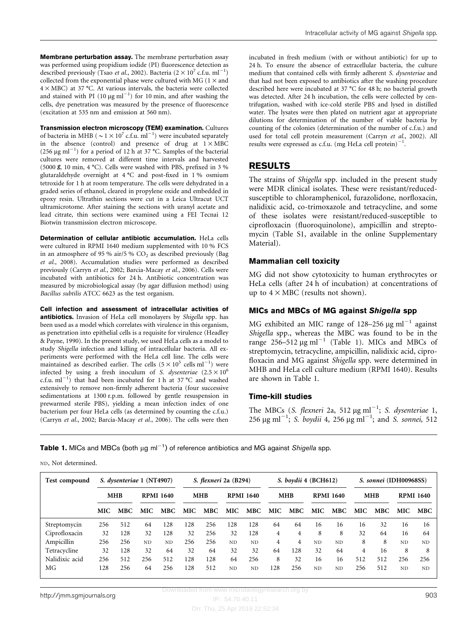Membrane perturbation assay. The membrane perturbation assay was performed using propidium iodide (PI) fluorescence detection as described previously (Tsao et al.[, 2002\)](#page-8-0). Bacteria ( $2 \times 10^7$  c.f.u. ml<sup>-1</sup>) collected from the exponential phase were cultured with MG (1  $\times$  and  $4 \times \text{MBC}$ ) at 37 °C. At various intervals, the bacteria were collected and stained with PI (10  $\mu$ g ml<sup>-1</sup>) for 10 min, and after washing the cells, dye penetration was measured by the presence of fluorescence (excitation at 535 nm and emission at 560 nm).

Transmission electron microscopy (TEM) examination. Cultures of bacteria in MHB ( $\sim$ 1 $\times$ 10<sup>7</sup> c.f.u. ml<sup>-1</sup>) were incubated separately in the absence (control) and presence of drug at  $1 \times \text{MBC}$ (256  $\mu$ g ml<sup>-1</sup>) for a period of 12 h at 37 °C. Samples of the bacterial cultures were removed at different time intervals and harvested (5000  $\mathsf{\$}$ , 10 min, 4 °C). Cells were washed with PBS, prefixed in 3 % glutaraldehyde overnight at  $4^{\circ}$ C and post-fixed in 1% osmium tetroxide for 1 h at room temperature. The cells were dehydrated in a graded series of ethanol, cleared in propylene oxide and embedded in epoxy resin. Ultrathin sections were cut in a Leica Ultracut UCT ultramicrotome. After staining the sections with uranyl acetate and lead citrate, thin sections were examined using a FEI Tecnai 12 Biotwin transmission electron microscope.

Determination of cellular antibiotic accumulation. HeLa cells were cultured in RPMI 1640 medium supplemented with 10 % FCS in an atmosphere of 95 % air/5 %  $CO<sub>2</sub>$  as described previously [\(Bag](#page-7-0) et al.[, 2008](#page-7-0)). Accumulation studies were performed as described previously ([Carryn](#page-7-0) et al., 2002; [Barcia-Macay](#page-7-0) et al., 2006). Cells were incubated with antibiotics for 24 h. Antibiotic concentration was measured by microbiological assay (by agar diffusion method) using Bacillus subtilis ATCC 6623 as the test organism.

Cell infection and assessment of intracellular activities of antibiotics. Invasion of HeLa cell monolayers by Shigella spp. has been used as a model which correlates with virulence in this organism, as penetration into epithelial cells is a requisite for virulence [\(Headley](#page-8-0) [& Payne, 1990](#page-8-0)). In the present study, we used HeLa cells as a model to study Shigella infection and killing of intracellular bacteria. All experiments were performed with the HeLa cell line. The cells were maintained as described earlier. The cells  $(5 \times 10^5 \text{ cells ml}^{-1})$  were infected by using a fresh inoculum of S. dysenteriae  $(2.5\times10^6$ c.f.u.  $ml^{-1}$ ) that had been incubated for 1 h at 37 °C and washed extensively to remove non-firmly adherent bacteria (four successive sedimentations at 1300 r.p.m. followed by gentle resuspension in prewarmed sterile PBS), yielding a mean infection index of one bacterium per four HeLa cells (as determined by counting the c.f.u.) ([Carryn](#page-7-0) et al., 2002; [Barcia-Macay](#page-7-0) et al., 2006). The cells were then incubated in fresh medium (with or without antibiotic) for up to 24 h. To ensure the absence of extracellular bacteria, the culture medium that contained cells with firmly adherent S. dysenteriae and that had not been exposed to antibiotics after the washing procedure described here were incubated at  $37^{\circ}$ C for 48 h; no bacterial growth was detected. After 24 h incubation, the cells were collected by centrifugation, washed with ice-cold sterile PBS and lysed in distilled water. The lysates were then plated on nutrient agar at appropriate dilutions for determination of the number of viable bacteria by counting of the colonies (determination of the number of c.f.u.) and used for total cell protein measurement ([Carryn](#page-7-0) et al., 2002). All results were expressed as c.f.u. (mg HeLa cell protein) $^{-1}$ .

# RESULTS

The strains of Shigella spp. included in the present study were MDR clinical isolates. These were resistant/reducedsusceptible to chloramphenicol, furazolidone, norfloxacin, nalidixic acid, co-trimoxazole and tetracycline, and some of these isolates were resistant/reduced-susceptible to ciprofloxacin (fluoroquinolone), ampicillin and streptomycin (Table S1, available in the online Supplementary Material).

# Mammalian cell toxicity

MG did not show cytotoxicity to human erythrocytes or HeLa cells (after 24 h of incubation) at concentrations of up to  $4 \times \text{MBC}$  (results not shown).

# MICs and MBCs of MG against Shigella spp

MG exhibited an MIC range of 128–256  $\mu$ g ml<sup>-1</sup> against Shigella spp., whereas the MBC was found to be in the range  $256-512 \mu g \text{ ml}^{-1}$  (Table 1). MICs and MBCs of streptomycin, tetracycline, ampicillin, nalidixic acid, ciprofloxacin and MG against Shigella spp. were determined in MHB and HeLa cell culture medium (RPMI 1640). Results are shown in Table 1.

# Time-kill studies

The MBCs (S. flexneri 2a, 512  $\mu$ g ml<sup>-1</sup>; S. dysenteriae 1, 256  $\mu$ g ml<sup>-1</sup>; S. *boydii* 4, 256  $\mu$ g ml<sup>-1</sup>; and S. *sonnei*, 512

**Table 1.** MICs and MBCs (both  $\mu$ g ml<sup>-1</sup>) of reference antibiotics and MG against Shigella spp.

ND, Not determined.

| Test compound  | S. dysenteriae 1 (NT4907) |            |                  |            | S. flexneri 2a (B294) |            |                  |                | S. boydii 4 (BCH612) |                |                  |            | S. sonnei (IDH00968SS) |            |                  |            |
|----------------|---------------------------|------------|------------------|------------|-----------------------|------------|------------------|----------------|----------------------|----------------|------------------|------------|------------------------|------------|------------------|------------|
|                | <b>MHB</b>                |            | <b>RPMI 1640</b> |            | <b>MHB</b>            |            | <b>RPMI 1640</b> |                | <b>MHB</b>           |                | <b>RPMI 1640</b> |            | <b>MHB</b>             |            | <b>RPMI 1640</b> |            |
|                | <b>MIC</b>                | <b>MBC</b> | <b>MIC</b>       | <b>MBC</b> | <b>MIC</b>            | <b>MBC</b> | <b>MIC</b>       | <b>MBC</b>     | <b>MIC</b>           | <b>MBC</b>     | <b>MIC</b>       | <b>MBC</b> | <b>MIC</b>             | <b>MBC</b> | MIC              | <b>MBC</b> |
| Streptomycin   | 256                       | 512        | 64               | 128        | 128                   | 256        | 128              | 128            | 64                   | 64             | 16               | 16         | 16                     | 32         | 16               | 16         |
| Ciprofloxacin  | 32                        | 128        | 32               | 128        | 32                    | 256        | 32               | 128            | 4                    | 4              | 8                | 8          | 32                     | 64         | 16               | 64         |
| Ampicillin     | 256                       | 256        | <b>ND</b>        | <b>ND</b>  | 256                   | 256        | <b>ND</b>        | ND             | 4                    | $\overline{4}$ | <b>ND</b>        | ND.        | 8                      | 8          | <b>ND</b>        | <b>ND</b>  |
| Tetracycline   | 32                        | 128        | 32               | 64         | 32                    | 64         | 32               | 32             | 64                   | 128            | 32               | 64         | 4                      | 16         | 8                | 8          |
| Nalidixic acid | 256                       | 512        | 256              | 512        | 128                   | 128        | 64               | 256            | 8                    | 32             | 16               | 16         | 512                    | 512        | 256              | 256        |
| MG             | 128                       | 256        | 64               | 256        | 128                   | 512        | <b>ND</b>        | N <sub>D</sub> | 128                  | 256            | <b>ND</b>        | <b>ND</b>  | 256                    | 512        | <b>ND</b>        | <b>ND</b>  |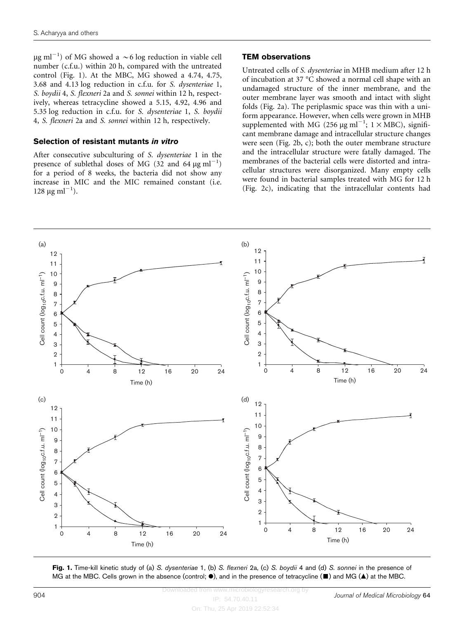$\mu$ g ml<sup>-1</sup>) of MG showed a ~6 log reduction in viable cell number (c.f.u.) within 20 h, compared with the untreated control (Fig. 1). At the MBC, MG showed a 4.74, 4.75, 3.68 and 4.13 log reduction in c.f.u. for S. dysenteriae 1, S. boydii 4, S. flexneri 2a and S. sonnei within 12 h, respectively, whereas tetracycline showed a 5.15, 4.92, 4.96 and 5.35 log reduction in c.f.u. for S. dysenteriae 1, S. boydii 4, S. flexneri 2a and S. sonnei within 12 h, respectively.

#### Selection of resistant mutants in vitro

After consecutive subculturing of S. dysenteriae 1 in the presence of sublethal doses of MG  $(32 \text{ and } 64 \mu\text{g m}^{-1})$ for a period of 8 weeks, the bacteria did not show any increase in MIC and the MIC remained constant (i.e.  $128 \mu g$  ml<sup>-1</sup>).

#### TEM observations

Untreated cells of S. dysenteriae in MHB medium after 12 h of incubation at 37  $\degree$ C showed a normal cell shape with an undamaged structure of the inner membrane, and the outer membrane layer was smooth and intact with slight folds ([Fig. 2a\)](#page-4-0). The periplasmic space was thin with a uniform appearance. However, when cells were grown in MHB supplemented with MG (256 µg ml<sup>-1</sup>;  $1 \times \text{MBC}$ ), significant membrane damage and intracellular structure changes were seen ([Fig. 2b](#page-4-0), c); both the outer membrane structure and the intracellular structure were fatally damaged. The membranes of the bacterial cells were distorted and intracellular structures were disorganized. Many empty cells were found in bacterial samples treated with MG for 12 h [\(Fig. 2c](#page-4-0)), indicating that the intracellular contents had



Fig. 1. Time-kill kinetic study of (a) S. dysenteriae 1, (b) S. flexneri 2a, (c) S. boydii 4 and (d) S. sonnei in the presence of MG at the MBC. Cells grown in the absence (control;  $\bullet$ ), and in the presence of tetracycline ( $\blacksquare$ ) and MG ( $\blacktriangle$ ) at the MBC.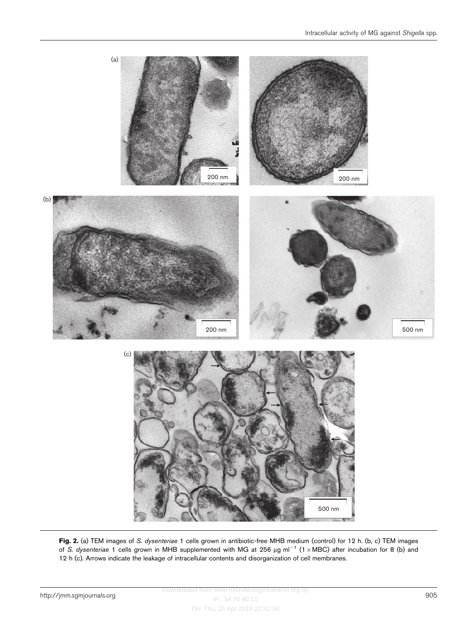<span id="page-4-0"></span>

Fig. 2. (a) TEM images of S. dysenteriae 1 cells grown in antibiotic-free MHB medium (control) for 12 h. (b, c) TEM images of S. dysenteriae 1 cells grown in MHB supplemented with MG at 256 µg ml<sup>-1</sup> (1 × MBC) after incubation for 8 (b) and 12 h (c). Arrows indicate the leakage of intracellular contents and disorganization of cell membranes.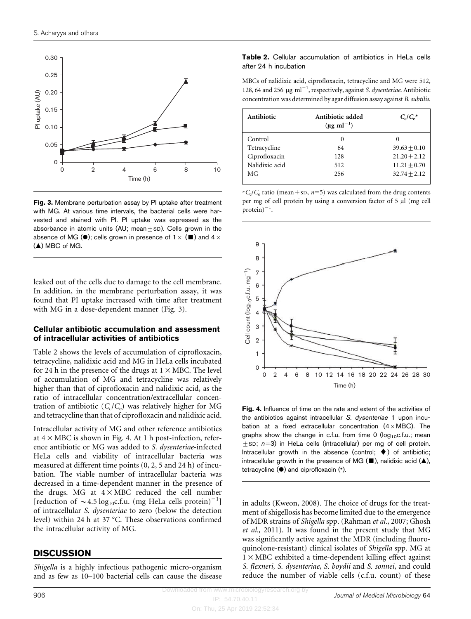

Fig. 3. Membrane perturbation assay by PI uptake after treatment with MG. At various time intervals, the bacterial cells were harvested and stained with PI. PI uptake was expressed as the absorbance in atomic units (AU; mean $\pm$ SD). Cells grown in the absence of MG ( $\bullet$ ); cells grown in presence of 1  $\times$  ( $\blacksquare$ ) and 4  $\times$  $(A)$  MBC of MG.

leaked out of the cells due to damage to the cell membrane. In addition, in the membrane perturbation assay, it was found that PI uptake increased with time after treatment with MG in a dose-dependent manner (Fig. 3).

# Cellular antibiotic accumulation and assessment of intracellular activities of antibiotics

Table 2 shows the levels of accumulation of ciprofloxacin, tetracycline, nalidixic acid and MG in HeLa cells incubated for 24 h in the presence of the drugs at  $1 \times \text{MBC}$ . The level of accumulation of MG and tetracycline was relatively higher than that of ciprofloxacin and nalidixic acid, as the ratio of intracellular concentration/extracellular concentration of antibiotic  $(C_c/C_e)$  was relatively higher for MG and tetracycline than that of ciprofloxacin and nalidixic acid.

Intracellular activity of MG and other reference antibiotics at  $4 \times \text{MBC}$  is shown in Fig. 4. At 1 h post-infection, reference antibiotic or MG was added to S. dysenteriae-infected HeLa cells and viability of intracellular bacteria was measured at different time points (0, 2, 5 and 24 h) of incubation. The viable number of intracellular bacteria was decreased in a time-dependent manner in the presence of the drugs. MG at  $4 \times \text{MBC}$  reduced the cell number [reduction of  $\sim$  4.5 log<sub>10</sub>c.f.u. (mg HeLa cells protein)<sup>-1</sup>] of intracellular S. dysenteriae to zero (below the detection level) within 24 h at 37 °C. These observations confirmed the intracellular activity of MG.

# **DISCUSSION**

Shigella is a highly infectious pathogenic micro-organism and as few as 10–100 bacterial cells can cause the disease

Table 2. Cellular accumulation of antibiotics in HeLa cells after 24 h incubation

MBCs of nalidixic acid, ciprofloxacin, tetracycline and MG were 512, 128, 64 and 256  $\mu$ g ml<sup>-1</sup>, respectively, against S. dysenteriae. Antibiotic concentration was determined by agar diffusion assay against B. subtilis.

| Antibiotic     | Antibiotic added<br>$(\mu g \text{ ml}^{-1})$ | $C_c/C_c^*$    |
|----------------|-----------------------------------------------|----------------|
| Control        | $_{0}$                                        | $\theta$       |
| Tetracycline   | 64                                            | $39.63 + 0.10$ |
| Ciprofloxacin  | 128                                           | $21.20 + 2.12$ |
| Nalidixic acid | 512                                           | $11.21 + 0.70$ |
| MG             | 256                                           | $32.74 + 2.12$ |

\* $C_c/C_e$  ratio (mean  $\pm$  SD, n=5) was calculated from the drug contents per mg of cell protein by using a conversion factor of 5 µl (mg cell  $protein)^{-1}$ .



Fig. 4. Influence of time on the rate and extent of the activities of the antibiotics against intracellular S. dysenteriae 1 upon incubation at a fixed extracellular concentration  $(4 \times \text{MBC})$ . The graphs show the change in c.f.u. from time 0  $(log_{10}c.f.u.;$  mean  $\pm$ SD; n=3) in HeLa cells (intracellular) per mg of cell protein. Intracellular growth in the absence (control;  $\blacklozenge$ ) of antibiotic; intracellular growth in the presence of MG  $(\blacksquare)$ , nalidixic acid  $(\blacktriangle)$ , tetracycline  $(\bullet)$  and ciprofloxacin  $(*)$ .

in adults [\(Kweon, 2008\)](#page-8-0). The choice of drugs for the treatment of shigellosis has become limited due to the emergence of MDR strains of Shigella spp. [\(Rahman](#page-8-0) et al., 2007; [Ghosh](#page-8-0) et al.[, 2011\)](#page-8-0). It was found in the present study that MG was significantly active against the MDR (including fluoroquinolone-resistant) clinical isolates of Shigella spp. MG at  $1 \times \text{MBC}$  exhibited a time-dependent killing effect against S. flexneri, S. dysenteriae, S. boydii and S. sonnei, and could reduce the number of viable cells (c.f.u. count) of these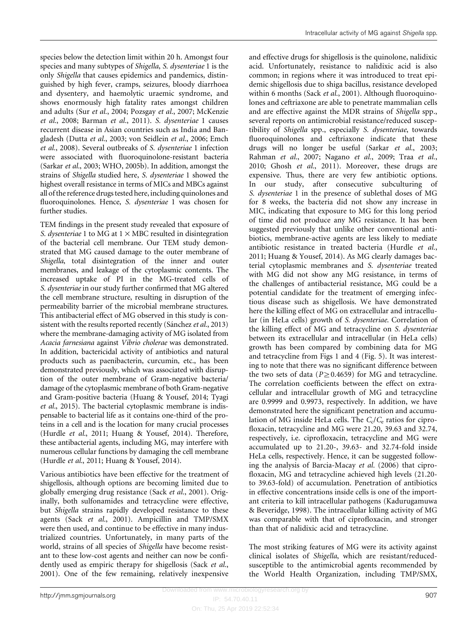species below the detection limit within 20 h. Amongst four species and many subtypes of Shigella, S. dysenteriae 1 is the only Shigella that causes epidemics and pandemics, distinguished by high fever, cramps, seizures, bloody diarrhoea and dysentery, and haemolytic uraemic syndrome, and shows enormously high fatality rates amongst children and adults (Sur et al.[, 2004; Pozsgay](#page-8-0) et al., 2007; [McKenzie](#page-8-0) et al.[, 2008](#page-8-0); [Barman](#page-7-0) et al., 2011). S. dysenteriae 1 causes recurrent disease in Asian countries such as India and Bangladesh (Dutta et al.[, 2003; von Seidlein](#page-8-0) et al., 2006; [Emch](#page-8-0) et al.[, 2008\)](#page-8-0). Several outbreaks of S. dysenteriae 1 infection were associated with fluoroquinolone-resistant bacteria [\(Sarkar](#page-8-0) et al., 2003; [WHO, 2005b](#page-8-0)). In addition, amongst the strains of Shigella studied here, S. dysenteriae 1 showed the highest overall resistance in terms of MICs and MBCs against all of the reference drugs tested here, including quinolones and fluoroquinolones. Hence, S. dysenteriae 1 was chosen for further studies.

TEM findings in the present study revealed that exposure of S. dysenteriae 1 to MG at  $1 \times \text{MBC}$  resulted in disintegration of the bacterial cell membrane. Our TEM study demonstrated that MG caused damage to the outer membrane of Shigella, total disintegration of the inner and outer membranes, and leakage of the cytoplasmic contents. The increased uptake of PI in the MG-treated cells of S. dysenteriae in our study further confirmed that MG altered the cell membrane structure, resulting in disruption of the permeability barrier of the microbial membrane structures. This antibacterial effect of MG observed in this study is consistent with the results reported recently (Sánchez et al., 2013) where the membrane-damaging activity of MG isolated from Acacia farnesiana against Vibrio cholerae was demonstrated. In addition, bactericidal activity of antibiotics and natural products such as paenibacterin, curcumin, etc., has been demonstrated previously, which was associated with disruption of the outer membrane of Gram-negative bacteria/ damage of the cytoplasmic membrane of both Gram-negative and Gram-positive bacteria [\(Huang & Yousef, 2014](#page-8-0); [Tyagi](#page-8-0) et al.[, 2015](#page-8-0)). The bacterial cytoplasmic membrane is indispensable to bacterial life as it contains one-third of the proteins in a cell and is the location for many crucial processes [\(Hurdle](#page-8-0) et al., 2011; [Huang & Yousef, 2014](#page-8-0)). Therefore, these antibacterial agents, including MG, may interfere with numerous cellular functions by damaging the cell membrane [\(Hurdle](#page-8-0) et al., 2011; [Huang & Yousef, 2014](#page-8-0)).

Various antibiotics have been effective for the treatment of shigellosis, although options are becoming limited due to globally emerging drug resistance (Sack et al.[, 2001\)](#page-8-0). Originally, both sulfonamides and tetracycline were effective, but Shigella strains rapidly developed resistance to these agents (Sack et al.[, 2001\)](#page-8-0). Ampicillin and TMP/SMX were then used, and continue to be effective in many industrialized countries. Unfortunately, in many parts of the world, strains of all species of Shigella have become resistant to these low-cost agents and neither can now be confidently used as empiric therapy for shigellosis (Sack [et al.](#page-8-0), [2001\)](#page-8-0). One of the few remaining, relatively inexpensive

and effective drugs for shigellosis is the quinolone, nalidixic acid. Unfortunately, resistance to nalidixic acid is also common; in regions where it was introduced to treat epidemic shigellosis due to shiga bacillus, resistance developed within 6 months (Sack et al.[, 2001\)](#page-8-0). Although fluoroquinolones and ceftriaxone are able to penetrate mammalian cells and are effective against the MDR strains of Shigella spp., several reports on antimicrobial resistance/reduced susceptibility of Shigella spp., especially S. dysenteriae, towards fluoroquinolones and ceftriaxone indicate that these drugs will no longer be useful (Sarkar et al.[, 2003;](#page-8-0) [Rahman](#page-8-0) et al., 2007; [Nagano](#page-8-0) et al., 2009; Traa [et al.](#page-8-0), [2010;](#page-8-0) Ghosh et al.[, 2011](#page-8-0)). Moreover, these drugs are expensive. Thus, there are very few antibiotic options. In our study, after consecutive subculturing of S. dysenteriae 1 in the presence of sublethal doses of MG for 8 weeks, the bacteria did not show any increase in MIC, indicating that exposure to MG for this long period of time did not produce any MG resistance. It has been suggested previously that unlike other conventional antibiotics, membrane-active agents are less likely to mediate antibiotic resistance in treated bacteria [\(Hurdle](#page-8-0) et al., [2011; Huang & Yousef, 2014](#page-8-0)). As MG clearly damages bacterial cytoplasmic membranes and S. dysenteriae treated with MG did not show any MG resistance, in terms of the challenges of antibacterial resistance, MG could be a potential candidate for the treatment of emerging infectious disease such as shigellosis. We have demonstrated here the killing effect of MG on extracellular and intracellular (in HeLa cells) growth of S. dysenteriae. Correlation of the killing effect of MG and tetracycline on S. dysenteriae between its extracellular and intracellular (in HeLa cells) growth has been compared by combining data for MG and tetracycline from Figs 1 and 4 ([Fig. 5](#page-7-0)). It was interesting to note that there was no significant difference between the two sets of data ( $P \ge 0.4659$ ) for MG and tetracycline. The correlation coefficients between the effect on extracellular and intracellular growth of MG and tetracycline are 0.9999 and 0.9973, respectively. In addition, we have demonstrated here the significant penetration and accumulation of MG inside HeLa cells. The  $C_c/C_e$  ratios for ciprofloxacin, tetracycline and MG were 21.20, 39.63 and 32.74, respectively, i.e. ciprofloxacin, tetracycline and MG were accumulated up to 21.20-, 39.63- and 32.74-fold inside HeLa cells, respectively. Hence, it can be suggested following the analysis of [Barcia-Macay](#page-7-0) et al. (2006) that ciprofloxacin, MG and tetracycline achieved high levels (21.20 to 39.63-fold) of accumulation. Penetration of antibiotics in effective concentrations inside cells is one of the important criteria to kill intracellular pathogens ([Kadurugamuwa](#page-8-0) [& Beveridge, 1998\)](#page-8-0). The intracellular killing activity of MG was comparable with that of ciprofloxacin, and stronger than that of nalidixic acid and tetracycline.

The most striking features of MG were its activity against clinical isolates of Shigella, which are resistant/reducedsusceptible to the antimicrobial agents recommended by the World Health Organization, including TMP/SMX,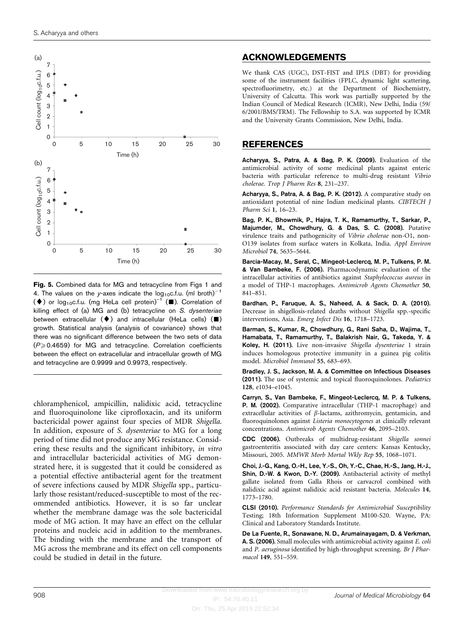<span id="page-7-0"></span>

Fig. 5. Combined data for MG and tetracycline from Figs 1 and 4. The values on the y-axes indicate the  $log_{10}c.f.u.$  (ml broth)<sup>-1</sup>  $(\blacklozenge)$  or log<sub>10</sub>c.f.u. (mg HeLa cell protein)<sup>-1</sup> (. Correlation of killing effect of (a) MG and (b) tetracycline on S. dysenteriae between extracellular  $(\blacklozenge)$  and intracellular (HeLa cells) ( $\blacksquare$ ) growth. Statistical analysis (analysis of covariance) shows that there was no significant difference between the two sets of data  $(P \ge 0.4659)$  for MG and tetracycline. Correlation coefficients between the effect on extracellular and intracellular growth of MG and tetracycline are 0.9999 and 0.9973, respectively.

chloramphenicol, ampicillin, nalidixic acid, tetracycline and fluoroquinolone like ciprofloxacin, and its uniform bactericidal power against four species of MDR Shigella. In addition, exposure of S. dysenteriae to MG for a long period of time did not produce any MG resistance. Considering these results and the significant inhibitory, in vitro and intracellular bactericidal activities of MG demonstrated here, it is suggested that it could be considered as a potential effective antibacterial agent for the treatment of severe infections caused by MDR Shigella spp., particularly those resistant/reduced-susceptible to most of the recommended antibiotics. However, it is so far unclear whether the membrane damage was the sole bactericidal mode of MG action. It may have an effect on the cellular proteins and nucleic acid in addition to the membranes. The binding with the membrane and the transport of MG across the membrane and its effect on cell components could be studied in detail in the future.

#### ACKNOWLEDGEMENTS

We thank CAS (UGC), DST-FIST and IPLS (DBT) for providing some of the instrument facilities (FPLC, dynamic light scattering, spectrofluorimetry, etc.) at the Department of Biochemistry, University of Calcutta. This work was partially supported by the Indian Council of Medical Research (ICMR), New Delhi, India (59/ 6/2001/BMS/TRM). The Fellowship to S.A. was supported by ICMR and the University Grants Commission, New Delhi, India.

#### REFERENCES

Acharyya, S., Patra, A. & Bag, P. K. (2009). Evaluation of the antimicrobial activity of some medicinal plants against enteric bacteria with particular reference to multi-drug resistant Vibrio cholerae. Trop J Pharm Res 8, 231–237.

Acharyya, S., Patra, A. & Bag, P. K. (2012). A comparative study on antioxidant potential of nine Indian medicinal plants. CIBTECH J Pharm Sci 1, 16–23.

Bag, P. K., Bhowmik, P., Hajra, T. K., Ramamurthy, T., Sarkar, P., Majumder, M., Chowdhury, G. & Das, S. C. (2008). Putative virulence traits and pathogenicity of Vibrio cholerae non-O1, non-O139 isolates from surface waters in Kolkata, India. Appl Environ Microbiol 74, 5635–5644.

Barcia-Macay, M., Seral, C., Mingeot-Leclercq, M. P., Tulkens, P. M. & Van Bambeke, F. (2006). Pharmacodynamic evaluation of the intracellular activities of antibiotics against Staphylococcus aureus in a model of THP-1 macrophages. Antimicrob Agents Chemother 50, 841–851.

Bardhan, P., Faruque, A. S., Naheed, A. & Sack, D. A. (2010). Decrease in shigellosis-related deaths without Shigella spp.-specific interventions, Asia. Emerg Infect Dis 16, 1718–1723.

Barman, S., Kumar, R., Chowdhury, G., Rani Saha, D., Wajima, T., Hamabata, T., Ramamurthy, T., Balakrish Nair, G., Takeda, Y. & Koley, H. (2011). Live non-invasive Shigella dysenteriae 1 strain induces homologous protective immunity in a guinea pig colitis model. Microbiol Immunol 55, 683–693.

Bradley, J. S., Jackson, M. A. & Committee on Infectious Diseases (2011). The use of systemic and topical fluoroquinolones. Pediatrics 128, e1034–e1045.

Carryn, S., Van Bambeke, F., Mingeot-Leclercq, M. P. & Tulkens, P. M. (2002). Comparative intracellular (THP-1 macrophage) and extracellular activities of  $\beta$ -lactams, azithromycin, gentamicin, and fluoroquinolones against Listeria monocytogenes at clinically relevant concentrations. Antimicrob Agents Chemother 46, 2095–2103.

CDC (2006). Outbreaks of multidrug-resistant Shigella sonnei gastroenteritis associated with day care centers: Kansas Kentucky, Missouri, 2005. MMWR Morb Mortal Wkly Rep 55, 1068–1071.

Choi, J.-G., Kang, O.-H., Lee, Y.-S., Oh, Y.-C., Chae, H.-S., Jang, H.-J., Shin, D.-W. & Kwon, D.-Y. (2009). Antibacterial activity of methyl gallate isolated from Galla Rhois or carvacrol combined with nalidixic acid against nalidixic acid resistant bacteria. Molecules 14, 1773–1780.

CLSI (2010). Performance Standards for Antimicrobial Susceptibility Testing; 18th Information Supplement M100-S20. Wayne, PA: Clinical and Laboratory Standards Institute.

De La Fuente, R., Sonawane, N. D., Arumainayagam, D. & Verkman, A. S. (2006). Small molecules with antimicrobial activity against E. coli and P. aeruginosa identified by high-throughput screening. Br J Pharmacol 149, 551–559.